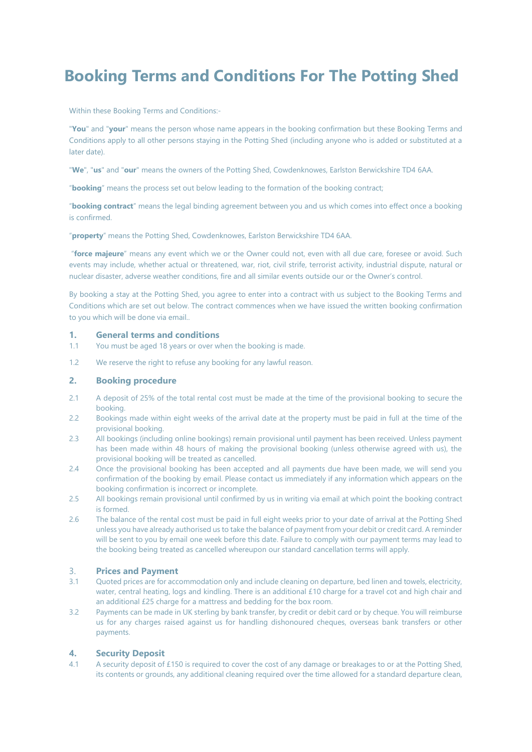# **Booking Terms and Conditions For The Potting Shed**

Within these Booking Terms and Conditions:-

"**You**" and "**your**" means the person whose name appears in the booking confirmation but these Booking Terms and Conditions apply to all other persons staying in the Potting Shed (including anyone who is added or substituted at a later date).

"**We**", "**us**" and "**our**" means the owners of the Potting Shed, Cowdenknowes, Earlston Berwickshire TD4 6AA.

"**booking**" means the process set out below leading to the formation of the booking contract;

"**booking contract**" means the legal binding agreement between you and us which comes into effect once a booking is confirmed.

"**property**" means the Potting Shed, Cowdenknowes, Earlston Berwickshire TD4 6AA.

"**force majeure**" means any event which we or the Owner could not, even with all due care, foresee or avoid. Such events may include, whether actual or threatened, war, riot, civil strife, terrorist activity, industrial dispute, natural or nuclear disaster, adverse weather conditions, fire and all similar events outside our or the Owner's control.

By booking a stay at the Potting Shed, you agree to enter into a contract with us subject to the Booking Terms and Conditions which are set out below. The contract commences when we have issued the written booking confirmation to you which will be done via email..

#### **1. General terms and conditions**

- 1.1 You must be aged 18 years or over when the booking is made.
- 1.2 We reserve the right to refuse any booking for any lawful reason.

#### **2. Booking procedure**

- 2.1 A deposit of 25% of the total rental cost must be made at the time of the provisional booking to secure the booking.
- 2.2 Bookings made within eight weeks of the arrival date at the property must be paid in full at the time of the provisional booking.
- 2.3 All bookings (including online bookings) remain provisional until payment has been received. Unless payment has been made within 48 hours of making the provisional booking (unless otherwise agreed with us), the provisional booking will be treated as cancelled.
- 2.4 Once the provisional booking has been accepted and all payments due have been made, we will send you confirmation of the booking by email. Please contact us immediately if any information which appears on the booking confirmation is incorrect or incomplete.
- 2.5 All bookings remain provisional until confirmed by us in writing via email at which point the booking contract is formed.
- 2.6 The balance of the rental cost must be paid in full eight weeks prior to your date of arrival at the Potting Shed unless you have already authorised us to take the balance of payment from your debit or credit card. A reminder will be sent to you by email one week before this date. Failure to comply with our payment terms may lead to the booking being treated as cancelled whereupon our standard cancellation terms will apply.

## 3. **Prices and Payment**

- 3.1 Quoted prices are for accommodation only and include cleaning on departure, bed linen and towels, electricity, water, central heating, logs and kindling. There is an additional £10 charge for a travel cot and high chair and an additional £25 charge for a mattress and bedding for the box room.
- 3.2 Payments can be made in UK sterling by bank transfer, by credit or debit card or by cheque. You will reimburse us for any charges raised against us for handling dishonoured cheques, overseas bank transfers or other payments.

#### **4. Security Deposit**

4.1 A security deposit of £150 is required to cover the cost of any damage or breakages to or at the Potting Shed, its contents or grounds, any additional cleaning required over the time allowed for a standard departure clean,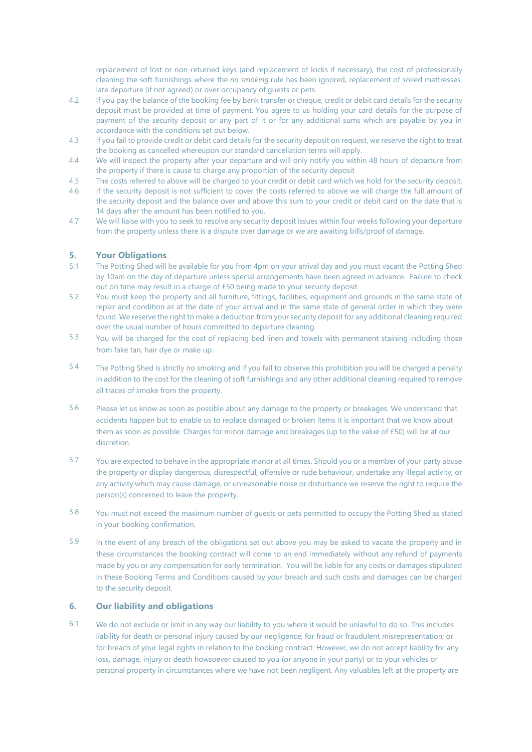replacement of lost or non-returned keys (and replacement of locks if necessary), the cost of professionally cleaning the soft furnishings where the *no smoking* rule has been ignored, replacement of soiled mattresses, late departure (if not agreed) or over occupancy of guests or pets.

- 4.2 If you pay the balance of the booking fee by bank transfer or cheque, credit or debit card details for the security deposit must be provided at time of payment. You agree to us holding your card details for the purpose of payment of the security deposit or any part of it or for any additional sums which are payable by you in accordance with the conditions set out below.
- 4.3 If you fail to provide credit or debit card details for the security deposit on request, we reserve the right to treat the booking as cancelled whereupon our standard cancellation terms will apply.
- 4.4 We will inspect the property after your departure and will only notify you within 48 hours of departure from the property if there is cause to charge any proportion of the security deposit
- 4.5 The costs referred to above will be charged to your credit or debit card which we hold for the security deposit. 4.6 If the security deposit is not sufficient to cover the costs referred to above we will charge the full amount of
- the security deposit and the balance over and above this sum to your credit or debit card on the date that is 14 days after the amount has been notified to you.
- 4.7 We will liaise with you to seek to resolve any security deposit issues within four weeks following your departure from the property unless there is a dispute over damage or we are awaiting bills/proof of damage.

#### **5. Your Obligations**

- 5.1 The Potting Shed will be available for you from 4pm on your arrival day and you must vacant the Potting Shed by 10am on the day of departure unless special arrangements have been agreed in advance. Failure to check out on time may result in a charge of £50 being made to your security deposit.
- 5.2 You must keep the property and all furniture, fittings, facilities, equipment and grounds in the same state of repair and condition as at the date of your arrival and in the same state of general order in which they were found. We reserve the right to make a deduction from your security deposit for any additional cleaning required over the usual number of hours committed to departure cleaning.
- 5.3 You will be charged for the cost of replacing bed linen and towels with permanent staining including those from fake tan, hair dye or make up.
- 5.4 The Potting Shed is strictly no smoking and if you fail to observe this prohibition you will be charged a penalty in addition to the cost for the cleaning of soft furnishings and any other additional cleaning required to remove all traces of smoke from the property.
- 5.6 Please let us know as soon as possible about any damage to the property or breakages. We understand that accidents happen but to enable us to replace damaged or broken items it is important that we know about them as soon as possible. Charges for minor damage and breakages (up to the value of £50) will be at our discretion.
- 5.7 You are expected to behave in the appropriate manor at all times. Should you or a member of your party abuse the property or display dangerous, disrespectful, offensive or rude behaviour, undertake any illegal activity, or any activity which may cause damage, or unreasonable noise or disturbance we reserve the right to require the person(s) concerned to leave the property.
- 5.8 You must not exceed the maximum number of guests or pets permitted to occupy the Potting Shed as stated in your booking confirmation.
- 5.9 In the event of any breach of the obligations set out above you may be asked to vacate the property and in these circumstances the booking contract will come to an end immediately without any refund of payments made by you or any compensation for early termination. You will be liable for any costs or damages stipulated in these Booking Terms and Conditions caused by your breach and such costs and damages can be charged to the security deposit.

#### **6. Our liability and obligations**

6.1 We do not exclude or limit in any way our liability to you where it would be unlawful to do so. This includes liability for death or personal injury caused by our negligence; for fraud or fraudulent misrepresentation; or for breach of your legal rights in relation to the booking contract. However, we do not accept liability for any loss, damage, injury or death howsoever caused to you (or anyone in your party) or to your vehicles or personal property in circumstances where we have not been negligent. Any valuables left at the property are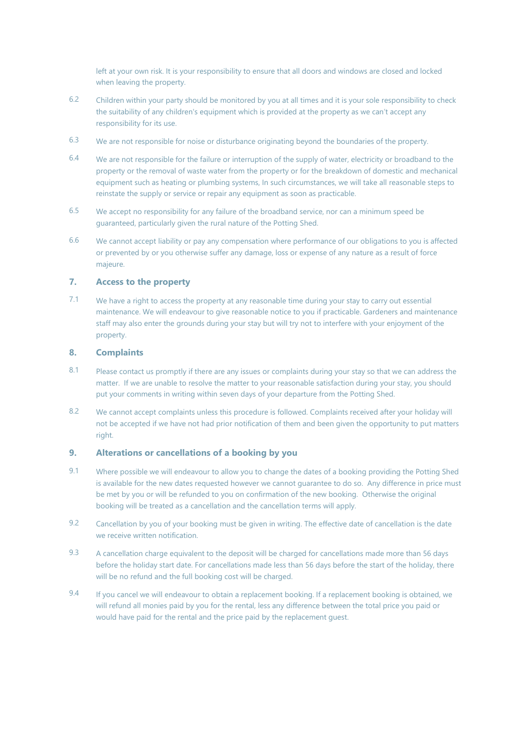left at your own risk. It is your responsibility to ensure that all doors and windows are closed and locked when leaving the property.

- 6.2 Children within your party should be monitored by you at all times and it is your sole responsibility to check the suitability of any children's equipment which is provided at the property as we can't accept any responsibility for its use.
- 6.3 We are not responsible for noise or disturbance originating beyond the boundaries of the property.
- 6.4 We are not responsible for the failure or interruption of the supply of water, electricity or broadband to the property or the removal of waste water from the property or for the breakdown of domestic and mechanical equipment such as heating or plumbing systems, In such circumstances, we will take all reasonable steps to reinstate the supply or service or repair any equipment as soon as practicable.
- 6.5 We accept no responsibility for any failure of the broadband service, nor can a minimum speed be guaranteed, particularly given the rural nature of the Potting Shed.
- 6.6 We cannot accept liability or pay any compensation where performance of our obligations to you is affected or prevented by or you otherwise suffer any damage, loss or expense of any nature as a result of force majeure.

## **7. Access to the property**

7.1 We have a right to access the property at any reasonable time during your stay to carry out essential maintenance. We will endeavour to give reasonable notice to you if practicable. Gardeners and maintenance staff may also enter the grounds during your stay but will try not to interfere with your enjoyment of the property.

#### **8. Complaints**

- 8.1 Please contact us promptly if there are any issues or complaints during your stay so that we can address the matter. If we are unable to resolve the matter to your reasonable satisfaction during your stay, you should put your comments in writing within seven days of your departure from the Potting Shed.
- 8.2 We cannot accept complaints unless this procedure is followed. Complaints received after your holiday will not be accepted if we have not had prior notification of them and been given the opportunity to put matters right.

#### **9. Alterations or cancellations of a booking by you**

- 9.1 Where possible we will endeavour to allow you to change the dates of a booking providing the Potting Shed is available for the new dates requested however we cannot guarantee to do so. Any difference in price must be met by you or will be refunded to you on confirmation of the new booking. Otherwise the original booking will be treated as a cancellation and the cancellation terms will apply.
- 9.2 Cancellation by you of your booking must be given in writing. The effective date of cancellation is the date we receive written notification.
- 9.3 A cancellation charge equivalent to the deposit will be charged for cancellations made more than 56 days before the holiday start date. For cancellations made less than 56 days before the start of the holiday, there will be no refund and the full booking cost will be charged.
- 9.4 If you cancel we will endeavour to obtain a replacement booking. If a replacement booking is obtained, we will refund all monies paid by you for the rental, less any difference between the total price you paid or would have paid for the rental and the price paid by the replacement guest.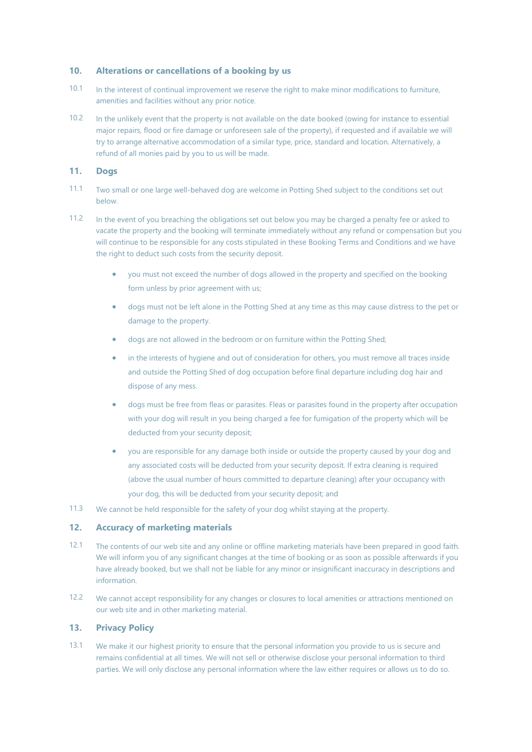#### **10. Alterations or cancellations of a booking by us**

- 10.1 In the interest of continual improvement we reserve the right to make minor modifications to furniture, amenities and facilities without any prior notice.
- 10.2 In the unlikely event that the property is not available on the date booked (owing for instance to essential major repairs, flood or fire damage or unforeseen sale of the property), if requested and if available we will try to arrange alternative accommodation of a similar type, price, standard and location. Alternatively, a refund of all monies paid by you to us will be made.

# **11. Dogs**

- 11.1 Two small or one large well-behaved dog are welcome in Potting Shed subject to the conditions set out below.
- 11.2 In the event of you breaching the obligations set out below you may be charged a penalty fee or asked to vacate the property and the booking will terminate immediately without any refund or compensation but you will continue to be responsible for any costs stipulated in these Booking Terms and Conditions and we have the right to deduct such costs from the security deposit.
	- you must not exceed the number of dogs allowed in the property and specified on the booking form unless by prior agreement with us;
	- dogs must not be left alone in the Potting Shed at any time as this may cause distress to the pet or damage to the property.
	- dogs are not allowed in the bedroom or on furniture within the Potting Shed;
	- in the interests of hygiene and out of consideration for others, you must remove all traces inside and outside the Potting Shed of dog occupation before final departure including dog hair and dispose of any mess.
	- dogs must be free from fleas or parasites. Fleas or parasites found in the property after occupation with your dog will result in you being charged a fee for fumigation of the property which will be deducted from your security deposit;
	- you are responsible for any damage both inside or outside the property caused by your dog and any associated costs will be deducted from your security deposit. If extra cleaning is required (above the usual number of hours committed to departure cleaning) after your occupancy with your dog, this will be deducted from your security deposit; and
- 11.3 We cannot be held responsible for the safety of your dog whilst staying at the property.

## **12. Accuracy of marketing materials**

- 12.1 The contents of our web site and any online or offline marketing materials have been prepared in good faith. We will inform you of any significant changes at the time of booking or as soon as possible afterwards if you have already booked, but we shall not be liable for any minor or insignificant inaccuracy in descriptions and information.
- 12.2 We cannot accept responsibility for any changes or closures to local amenities or attractions mentioned on our web site and in other marketing material.

## **13. Privacy Policy**

13.1 We make it our highest priority to ensure that the personal information you provide to us is secure and remains confidential at all times. We will not sell or otherwise disclose your personal information to third parties. We will only disclose any personal information where the law either requires or allows us to do so.